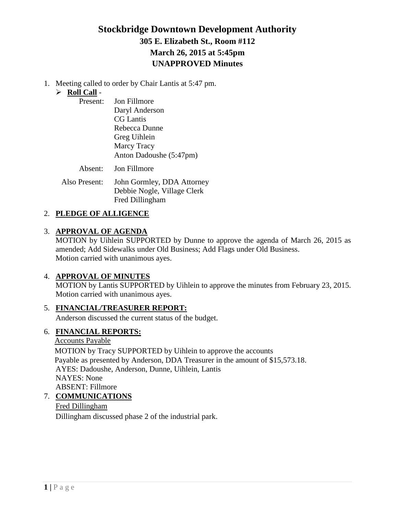# **Stockbridge Downtown Development Authority 305 E. Elizabeth St., Room #112 March 26, 2015 at 5:45pm UNAPPROVED Minutes**

1. Meeting called to order by Chair Lantis at 5:47 pm.

## **Roll Call** -

| Present: | Jon Fillmore            |
|----------|-------------------------|
|          | Daryl Anderson          |
|          | <b>CG</b> Lantis        |
|          | Rebecca Dunne           |
|          | Greg Uihlein            |
|          | <b>Marcy Tracy</b>      |
|          | Anton Dadoushe (5:47pm) |
|          |                         |

Absent: Jon Fillmore

Also Present: John Gormley, DDA Attorney Debbie Nogle, Village Clerk Fred Dillingham

## 2. **PLEDGE OF ALLIGENCE**

### 3. **APPROVAL OF AGENDA**

MOTION by Uihlein SUPPORTED by Dunne to approve the agenda of March 26, 2015 as amended; Add Sidewalks under Old Business; Add Flags under Old Business. Motion carried with unanimous ayes.

### 4. **APPROVAL OF MINUTES**

MOTION by Lantis SUPPORTED by Uihlein to approve the minutes from February 23, 2015. Motion carried with unanimous ayes.

### 5. **FINANCIAL/TREASURER REPORT:**

Anderson discussed the current status of the budget.

## 6. **FINANCIAL REPORTS:**

Accounts Payable MOTION by Tracy SUPPORTED by Uihlein to approve the accounts Payable as presented by Anderson, DDA Treasurer in the amount of \$15,573.18. AYES: Dadoushe, Anderson, Dunne, Uihlein, Lantis NAYES: None ABSENT: Fillmore

7. **COMMUNICATIONS**

Fred Dillingham Dillingham discussed phase 2 of the industrial park.